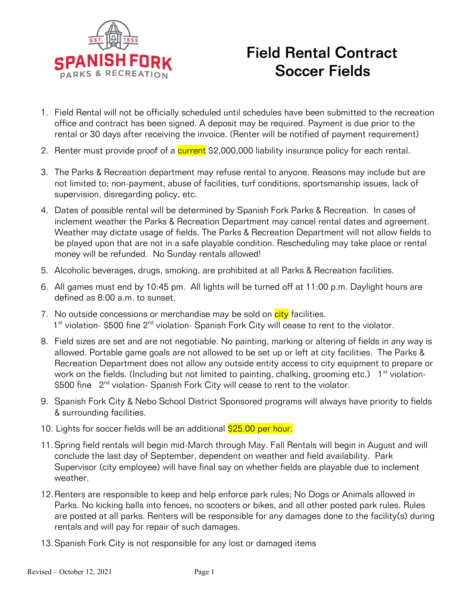

## Field Rental Contract Soccer Fields

- 1. Field Rental will not be officially scheduled until schedules have been submitted to the recreation office and contract has been signed. A deposit may be required. Payment is due prior to the rental or 30 days after receiving the invoice. (Renter will be notified of payment requirement)
- 2. Renter must provide proof of a **current** \$2,000,000 liability insurance policy for each rental.
- 3. The Parks & Recreation department may refuse rental to anyone. Reasons may include but are not limited to; non-payment, abuse of facilities, turf conditions, sportsmanship issues, lack of supervision, disregarding policy, etc.
- 4. Dates of possible rental will be determined by Spanish Fork Parks & Recreation. In cases of inclement weather the Parks & Recreation Department may cancel rental dates and agreement. Weather may dictate usage of fields. The Parks & Recreation Department will not allow fields to be played upon that are not in a safe playable condition. Rescheduling may take place or rental money will be refunded. No Sunday rentals allowed!
- 5. Alcoholic beverages, drugs, smoking, are prohibited at all Parks & Recreation facilities.
- 6. All games must end by 10:45 pm. All lights will be turned off at 11:00 p.m. Daylight hours are defined as 8:00 a.m. to sunset.
- 7. No outside concessions or merchandise may be sold on  $\frac{\text{city}}{\text{city}}$  facilities. 1<sup>st</sup> violation- \$500 fine 2<sup>nd</sup> violation- Spanish Fork City will cease to rent to the violator.
- 8. Field sizes are set and are not negotiable. No painting, marking or altering of fields in any way is allowed. Portable game goals are not allowed to be set up or left at city facilities. The Parks & Recreation Department does not allow any outside entity access to city equipment to prepare or work on the fields. (Including but not limited to painting, chalking, grooming etc.)  $1<sup>st</sup>$  violation-\$500 fine 2<sup>nd</sup> violation- Spanish Fork City will cease to rent to the violator.
- 9. Spanish Fork City & Nebo School District Sponsored programs will always have priority to fields & surrounding facilities.
- 10. Lights for soccer fields will be an additional \$25.00 per hour.
- 11.Spring field rentals will begin mid-March through May. Fall Rentals will begin in August and will conclude the last day of September, dependent on weather and field availability. Park Supervisor (city employee) will have final say on whether fields are playable due to inclement weather.
- 12.Renters are responsible to keep and help enforce park rules; No Dogs or Animals allowed in Parks. No kicking balls into fences, no scooters or bikes, and all other posted park rules. Rules are posted at all parks. Renters will be responsible for any damages done to the facility(s) during rentals and will pay for repair of such damages.
- 13.Spanish Fork City is not responsible for any lost or damaged items